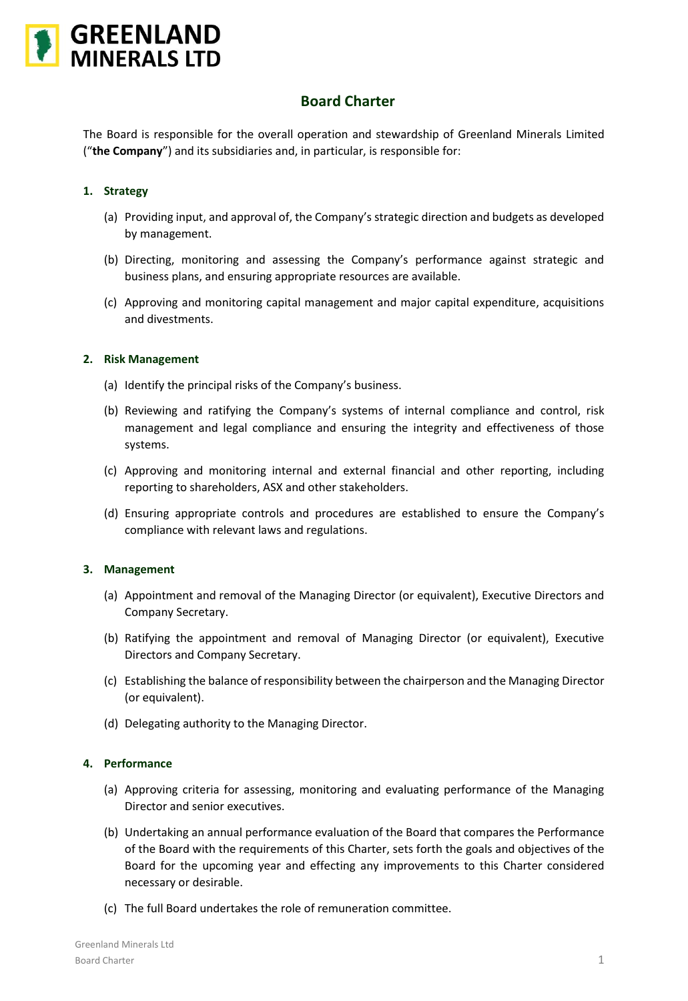

# **Board Charter**

The Board is responsible for the overall operation and stewardship of Greenland Minerals Limited ("**the Company**") and its subsidiaries and, in particular, is responsible for:

# **1. Strategy**

- (a) Providing input, and approval of, the Company's strategic direction and budgets as developed by management.
- (b) Directing, monitoring and assessing the Company's performance against strategic and business plans, and ensuring appropriate resources are available.
- (c) Approving and monitoring capital management and major capital expenditure, acquisitions and divestments.

## **2. Risk Management**

- (a) Identify the principal risks of the Company's business.
- (b) Reviewing and ratifying the Company's systems of internal compliance and control, risk management and legal compliance and ensuring the integrity and effectiveness of those systems.
- (c) Approving and monitoring internal and external financial and other reporting, including reporting to shareholders, ASX and other stakeholders.
- (d) Ensuring appropriate controls and procedures are established to ensure the Company's compliance with relevant laws and regulations.

## **3. Management**

- (a) Appointment and removal of the Managing Director (or equivalent), Executive Directors and Company Secretary.
- (b) Ratifying the appointment and removal of Managing Director (or equivalent), Executive Directors and Company Secretary.
- (c) Establishing the balance of responsibility between the chairperson and the Managing Director (or equivalent).
- (d) Delegating authority to the Managing Director.

## **4. Performance**

- (a) Approving criteria for assessing, monitoring and evaluating performance of the Managing Director and senior executives.
- (b) Undertaking an annual performance evaluation of the Board that compares the Performance of the Board with the requirements of this Charter, sets forth the goals and objectives of the Board for the upcoming year and effecting any improvements to this Charter considered necessary or desirable.
- (c) The full Board undertakes the role of remuneration committee.